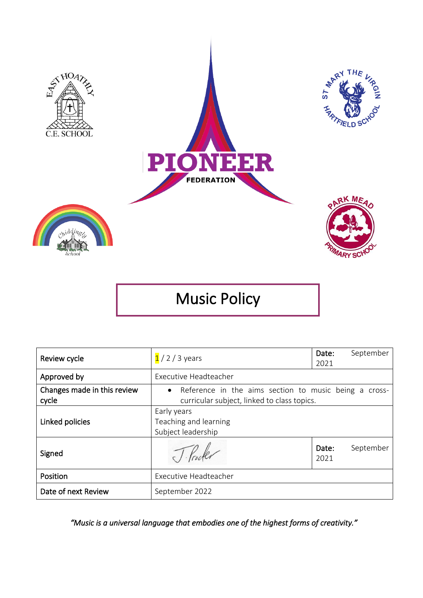

Music Policy

| Review cycle                         | $1/2/3$ years                                                                                          | Date:<br>2021 | September |
|--------------------------------------|--------------------------------------------------------------------------------------------------------|---------------|-----------|
| Approved by                          | Executive Headteacher                                                                                  |               |           |
| Changes made in this review<br>cycle | • Reference in the aims section to music being a cross-<br>curricular subject, linked to class topics. |               |           |
| Linked policies                      | Early years<br>Teaching and learning<br>Subject leadership                                             |               |           |
| Signed                               |                                                                                                        | Date:<br>2021 | September |
| Position                             | Executive Headteacher                                                                                  |               |           |
| Date of next Review                  | September 2022                                                                                         |               |           |

*"Music is a universal language that embodies one of the highest forms of creativity."*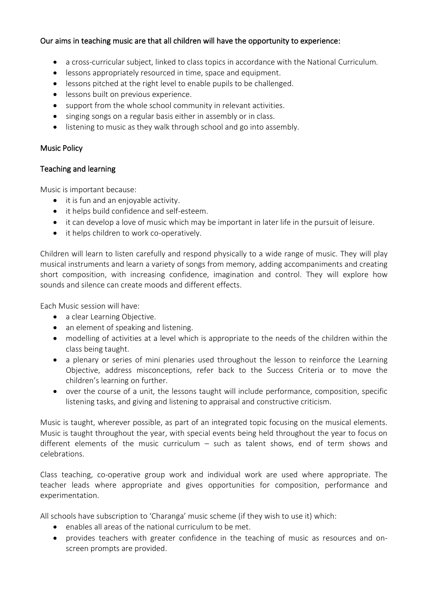# Our aims in teaching music are that all children will have the opportunity to experience:

- a cross-curricular subject, linked to class topics in accordance with the National Curriculum.
- lessons appropriately resourced in time, space and equipment.
- lessons pitched at the right level to enable pupils to be challenged.
- lessons built on previous experience.
- support from the whole school community in relevant activities.
- singing songs on a regular basis either in assembly or in class.
- listening to music as they walk through school and go into assembly.

## Music Policy

# Teaching and learning

Music is important because:

- it is fun and an enjoyable activity.
- it helps build confidence and self-esteem.
- it can develop a love of music which may be important in later life in the pursuit of leisure.
- it helps children to work co-operatively.

Children will learn to listen carefully and respond physically to a wide range of music. They will play musical instruments and learn a variety of songs from memory, adding accompaniments and creating short composition, with increasing confidence, imagination and control. They will explore how sounds and silence can create moods and different effects.

Each Music session will have:

- a clear Learning Objective.
- an element of speaking and listening.
- modelling of activities at a level which is appropriate to the needs of the children within the class being taught.
- a plenary or series of mini plenaries used throughout the lesson to reinforce the Learning Objective, address misconceptions, refer back to the Success Criteria or to move the children's learning on further.
- over the course of a unit, the lessons taught will include performance, composition, specific listening tasks, and giving and listening to appraisal and constructive criticism.

Music is taught, wherever possible, as part of an integrated topic focusing on the musical elements. Music is taught throughout the year, with special events being held throughout the year to focus on different elements of the music curriculum – such as talent shows, end of term shows and celebrations.

Class teaching, co-operative group work and individual work are used where appropriate. The teacher leads where appropriate and gives opportunities for composition, performance and experimentation.

All schools have subscription to 'Charanga' music scheme (if they wish to use it) which:

- enables all areas of the national curriculum to be met.
- provides teachers with greater confidence in the teaching of music as resources and onscreen prompts are provided.